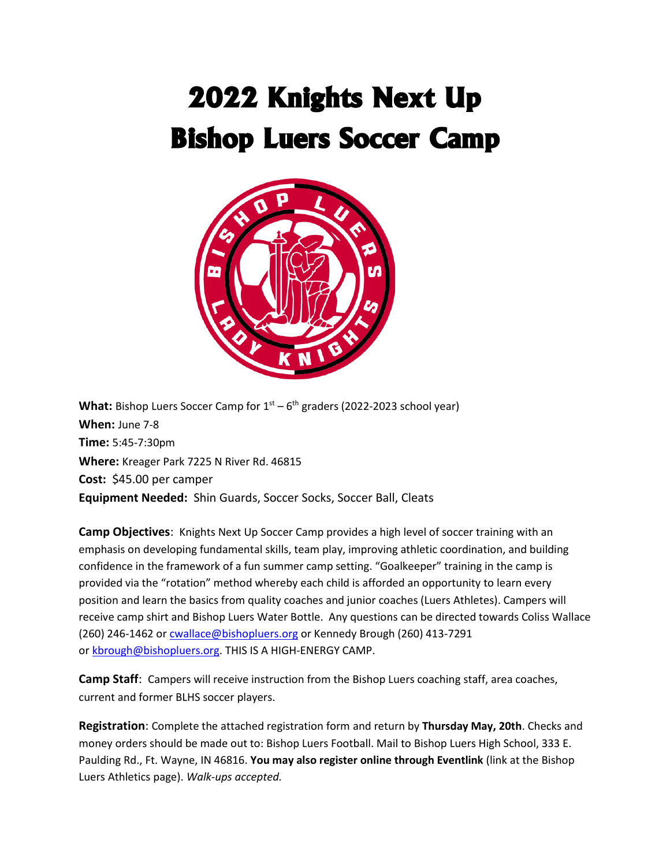# 2022 Knights Next Up Bishop Luers Soccer Camp



What: Bishop Luers Soccer Camp for 1<sup>st</sup> – 6<sup>th</sup> graders (2022-2023 school year) **When:** June 7-8 **Time:** 5:45-7:30pm **Where:** Kreager Park 7225 N River Rd. 46815 **Cost:** \$45.00 per camper **Equipment Needed:** Shin Guards, Soccer Socks, Soccer Ball, Cleats

**Camp Objectives**: Knights Next Up Soccer Camp provides a high level of soccer training with an emphasis on developing fundamental skills, team play, improving athletic coordination, and building confidence in the framework of a fun summer camp setting. "Goalkeeper" training in the camp is provided via the "rotation" method whereby each child is afforded an opportunity to learn every position and learn the basics from quality coaches and junior coaches (Luers Athletes). Campers will receive camp shirt and Bishop Luers Water Bottle. Any questions can be directed towards Coliss Wallace (260) 246-1462 or [cwallace@bishopluers.org](mailto:cwallace@bishopluers.org) or Kennedy Brough (260) 413-7291 or [kbrough@bishopluers.org.](mailto:kbrough@bishopluers.org) THIS IS A HIGH-ENERGY CAMP.

**Camp Staff**: Campers will receive instruction from the Bishop Luers coaching staff, area coaches, current and former BLHS soccer players.

**Registration**: Complete the attached registration form and return by **Thursday May, 20th**. Checks and money orders should be made out to: Bishop Luers Football. Mail to Bishop Luers High School, 333 E. Paulding Rd., Ft. Wayne, IN 46816. **You may also register online through Eventlink** (link at the Bishop Luers Athletics page). *Walk-ups accepted.*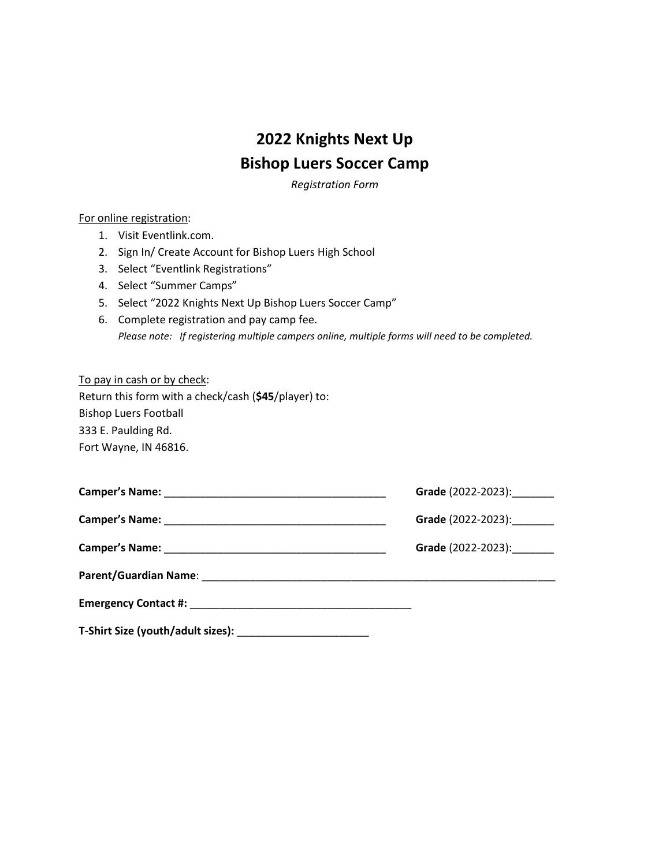## **2022 Knights Next Up Bishop Luers Soccer Camp**

*Registration Form*

#### For online registration:

- 1. Visit Eventlink.com.
- 2. Sign In/ Create Account for Bishop Luers High School
- 3. Select "Eventlink Registrations"
- 4. Select "Summer Camps"
- 5. Select "2022 Knights Next Up Bishop Luers Soccer Camp"
- 6. Complete registration and pay camp fee. *Please note: If registering multiple campers online, multiple forms will need to be completed.*

| To pay in cash or by check:                          |
|------------------------------------------------------|
| Return this form with a check/cash (\$45/player) to: |
| <b>Bishop Luers Football</b>                         |
| 333 E. Paulding Rd.                                  |
| Fort Wayne, IN 46816.                                |

| Grade (2022-2023):         |
|----------------------------|
| Grade (2022-2023): _______ |
| Grade (2022-2023): _______ |
|                            |
|                            |
|                            |